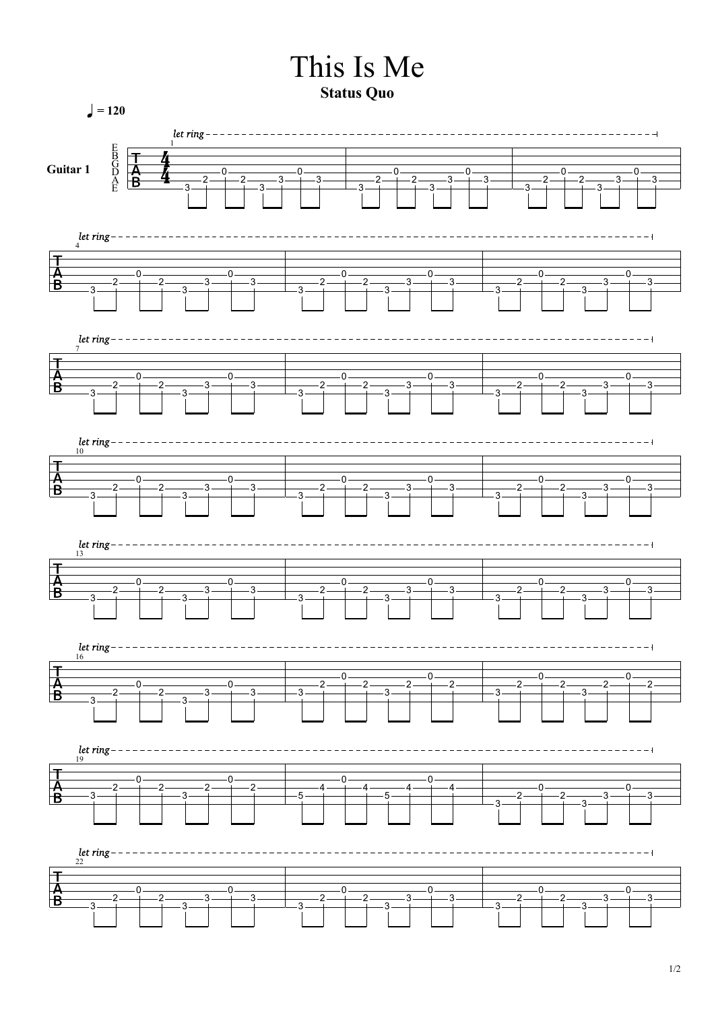## This Is Me

**Status Quo**